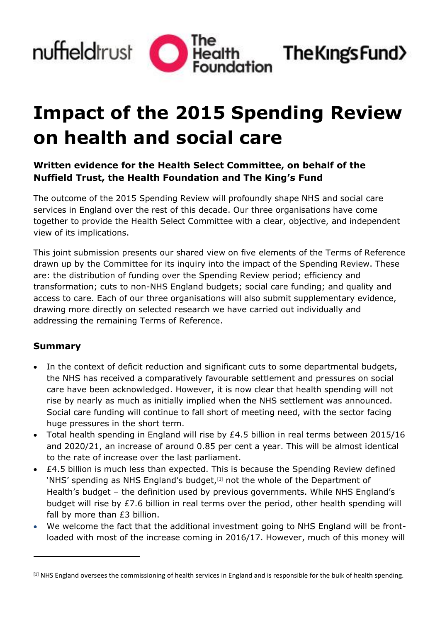

The King's Fund>

# **Impact of the 2015 Spending Review on health and social care**

# **Written evidence for the Health Select Committee, on behalf of the Nuffield Trust, the Health Foundation and The King's Fund**

The outcome of the 2015 Spending Review will profoundly shape NHS and social care services in England over the rest of this decade. Our three organisations have come together to provide the Health Select Committee with a clear, objective, and independent view of its implications.

This joint submission presents our shared view on five elements of the Terms of Reference drawn up by the Committee for its inquiry into the impact of the Spending Review. These are: the distribution of funding over the Spending Review period; efficiency and transformation; cuts to non-NHS England budgets; social care funding; and quality and access to care. Each of our three organisations will also submit supplementary evidence, drawing more directly on selected research we have carried out individually and addressing the remaining Terms of Reference.

#### **Summary**

j

- In the context of deficit reduction and significant cuts to some departmental budgets, the NHS has received a comparatively favourable settlement and pressures on social care have been acknowledged. However, it is now clear that health spending will not rise by nearly as much as initially implied when the NHS settlement was announced. Social care funding will continue to fall short of meeting need, with the sector facing huge pressures in the short term.
- Total health spending in England will rise by £4.5 billion in real terms between 2015/16 and 2020/21, an increase of around 0.85 per cent a year. This will be almost identical to the rate of increase over the last parliament.
- £4.5 billion is much less than expected. This is because the Spending Review defined 'NHS' spending as NHS England's budget,<sup>[1]</sup> not the whole of the Department of Health's budget – the definition used by previous governments. While NHS England's budget will rise by £7.6 billion in real terms over the period, other health spending will fall by more than £3 billion.
- We welcome the fact that the additional investment going to NHS England will be frontloaded with most of the increase coming in 2016/17. However, much of this money will

<sup>&</sup>lt;sup>[1]</sup> NHS England oversees the commissioning of health services in England and is responsible for the bulk of health spending.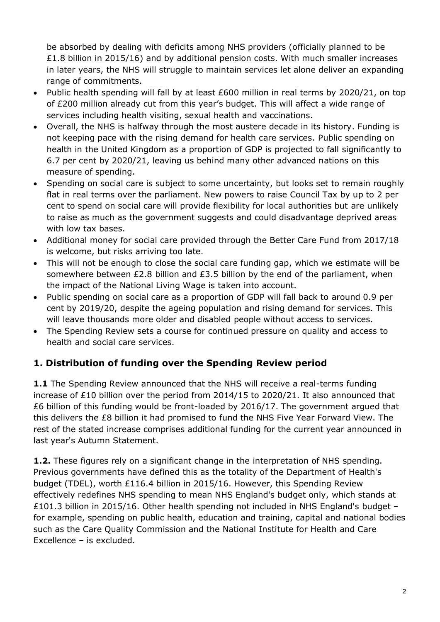be absorbed by dealing with deficits among NHS providers (officially planned to be £1.8 billion in 2015/16) and by additional pension costs. With much smaller increases in later years, the NHS will struggle to maintain services let alone deliver an expanding range of commitments.

- Public health spending will fall by at least £600 million in real terms by 2020/21, on top of £200 million already cut from this year's budget. This will affect a wide range of services including health visiting, sexual health and vaccinations.
- Overall, the NHS is halfway through the most austere decade in its history. Funding is not keeping pace with the rising demand for health care services. Public spending on health in the United Kingdom as a proportion of GDP is projected to fall significantly to 6.7 per cent by 2020/21, leaving us behind many other advanced nations on this measure of spending.
- Spending on social care is subject to some uncertainty, but looks set to remain roughly flat in real terms over the parliament. New powers to raise Council Tax by up to 2 per cent to spend on social care will provide flexibility for local authorities but are unlikely to raise as much as the government suggests and could disadvantage deprived areas with low tax bases.
- Additional money for social care provided through the Better Care Fund from 2017/18 is welcome, but risks arriving too late.
- This will not be enough to close the social care funding gap, which we estimate will be somewhere between £2.8 billion and £3.5 billion by the end of the parliament, when the impact of the National Living Wage is taken into account.
- Public spending on social care as a proportion of GDP will fall back to around 0.9 per cent by 2019/20, despite the ageing population and rising demand for services. This will leave thousands more older and disabled people without access to services.
- The Spending Review sets a course for continued pressure on quality and access to health and social care services.

### **1. Distribution of funding over the Spending Review period**

**1.1** The Spending Review announced that the NHS will receive a real-terms funding increase of £10 billion over the period from 2014/15 to 2020/21. It also announced that £6 billion of this funding would be front-loaded by 2016/17. The government argued that this delivers the £8 billion it had promised to fund the NHS Five Year Forward View. The rest of the stated increase comprises additional funding for the current year announced in last year's Autumn Statement.

**1.2.** These figures rely on a significant change in the interpretation of NHS spending. Previous governments have defined this as the totality of the Department of Health's budget (TDEL), worth £116.4 billion in 2015/16. However, this Spending Review effectively redefines NHS spending to mean NHS England's budget only, which stands at £101.3 billion in 2015/16. Other health spending not included in NHS England's budget – for example, spending on public health, education and training, capital and national bodies such as the Care Quality Commission and the National Institute for Health and Care Excellence – is excluded.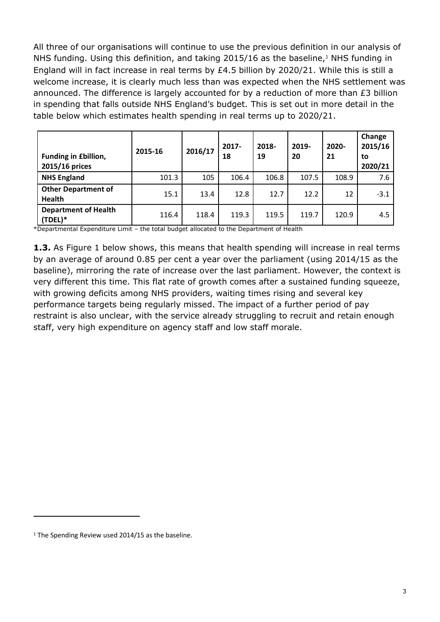All three of our organisations will continue to use the previous definition in our analysis of NHS funding. Using this definition, and taking 2015/16 as the baseline,<sup>1</sup> NHS funding in England will in fact increase in real terms by £4.5 billion by 2020/21. While this is still a welcome increase, it is clearly much less than was expected when the NHS settlement was announced. The difference is largely accounted for by a reduction of more than £3 billion in spending that falls outside NHS England's budget. This is set out in more detail in the table below which estimates health spending in real terms up to 2020/21.

| <b>Funding in £billion,</b><br>2015/16 prices | 2015-16 | 2016/17 | $2017 -$<br>18 | 2018-<br>19 | 2019-<br>20 | $2020 -$<br>21 | Change<br>2015/16<br>to<br>2020/21 |
|-----------------------------------------------|---------|---------|----------------|-------------|-------------|----------------|------------------------------------|
| <b>NHS England</b>                            | 101.3   | 105     | 106.4          | 106.8       | 107.5       | 108.9          | 7.6                                |
| <b>Other Department of</b><br><b>Health</b>   | 15.1    | 13.4    | 12.8           | 12.7        | 12.2        | 12             | $-3.1$                             |
| <b>Department of Health</b><br>(TDEL)*        | 116.4   | 118.4   | 119.3          | 119.5       | 119.7       | 120.9          | 4.5                                |

\*Departmental Expenditure Limit – the total budget allocated to the Department of Health

**1.3.** As Figure 1 below shows, this means that health spending will increase in real terms by an average of around 0.85 per cent a year over the parliament (using 2014/15 as the baseline), mirroring the rate of increase over the last parliament. However, the context is very different this time. This flat rate of growth comes after a sustained funding squeeze, with growing deficits among NHS providers, waiting times rising and several key performance targets being regularly missed. The impact of a further period of pay restraint is also unclear, with the service already struggling to recruit and retain enough staff, very high expenditure on agency staff and low staff morale.

 $\overline{a}$ 

<sup>&</sup>lt;sup>1</sup> The Spending Review used 2014/15 as the baseline.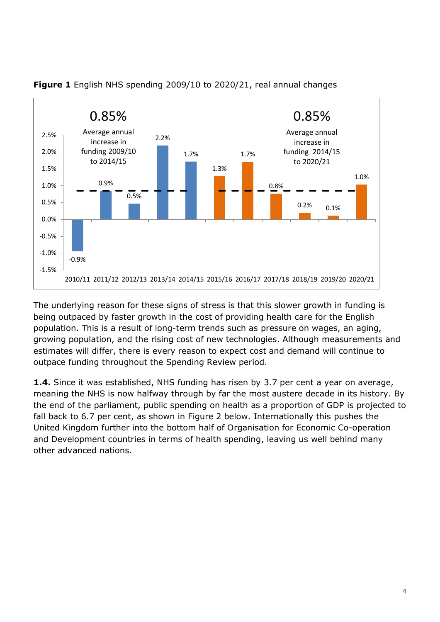

#### **Figure 1** English NHS spending 2009/10 to 2020/21, real annual changes

The underlying reason for these signs of stress is that this slower growth in funding is being outpaced by faster growth in the cost of providing health care for the English population. This is a result of long-term trends such as pressure on wages, an aging, growing population, and the rising cost of new technologies. Although measurements and estimates will differ, there is every reason to expect cost and demand will continue to outpace funding throughout the Spending Review period.

**1.4.** Since it was established, NHS funding has risen by 3.7 per cent a year on average, meaning the NHS is now halfway through by far the most austere decade in its history. By the end of the parliament, public spending on health as a proportion of GDP is projected to fall back to 6.7 per cent, as shown in Figure 2 below. Internationally this pushes the United Kingdom further into the bottom half of Organisation for Economic Co-operation and Development countries in terms of health spending, leaving us well behind many other advanced nations.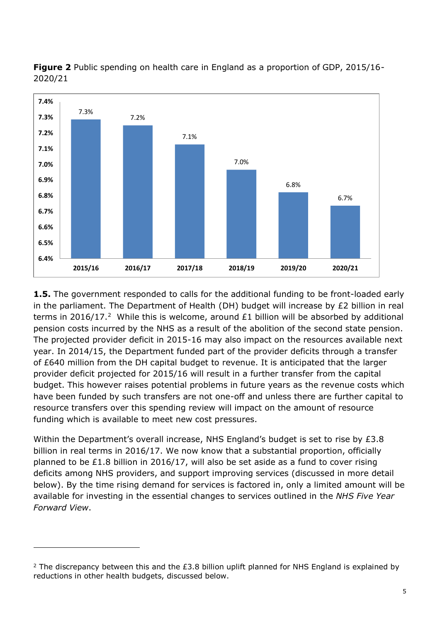



**1.5.** The government responded to calls for the additional funding to be front-loaded early in the parliament. The Department of Health (DH) budget will increase by £2 billion in real terms in 2016/17.<sup>2</sup> While this is welcome, around  $£1$  billion will be absorbed by additional pension costs incurred by the NHS as a result of the abolition of the second state pension. The projected provider deficit in 2015-16 may also impact on the resources available next year. In 2014/15, the Department funded part of the provider deficits through a transfer of £640 million from the DH capital budget to revenue. It is anticipated that the larger provider deficit projected for 2015/16 will result in a further transfer from the capital budget. This however raises potential problems in future years as the revenue costs which have been funded by such transfers are not one-off and unless there are further capital to resource transfers over this spending review will impact on the amount of resource funding which is available to meet new cost pressures.

Within the Department's overall increase, NHS England's budget is set to rise by £3.8 billion in real terms in 2016/17. We now know that a substantial proportion, officially planned to be £1.8 billion in 2016/17, will also be set aside as a fund to cover rising deficits among NHS providers, and support improving services (discussed in more detail below). By the time rising demand for services is factored in, only a limited amount will be available for investing in the essential changes to services outlined in the *NHS Five Year Forward View*.

j

 $2$  The discrepancy between this and the £3.8 billion uplift planned for NHS England is explained by reductions in other health budgets, discussed below.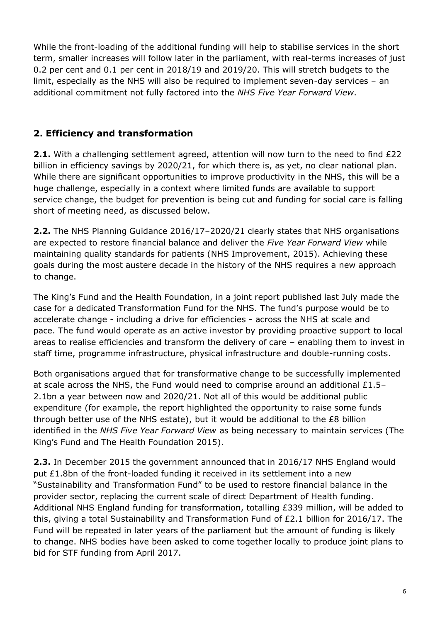While the front-loading of the additional funding will help to stabilise services in the short term, smaller increases will follow later in the parliament, with real-terms increases of just 0.2 per cent and 0.1 per cent in 2018/19 and 2019/20. This will stretch budgets to the limit, especially as the NHS will also be required to implement seven-day services – an additional commitment not fully factored into the *NHS Five Year Forward View*.

#### **2. Efficiency and transformation**

**2.1.** With a challenging settlement agreed, attention will now turn to the need to find £22 billion in efficiency savings by 2020/21, for which there is, as yet, no clear national plan. While there are significant opportunities to improve productivity in the NHS, this will be a huge challenge, especially in a context where limited funds are available to support service change, the budget for prevention is being cut and funding for social care is falling short of meeting need, as discussed below.

**2.2.** The NHS Planning Guidance 2016/17–2020/21 clearly states that NHS organisations are expected to restore financial balance and deliver the *Five Year Forward View* while maintaining quality standards for patients (NHS Improvement, 2015). Achieving these goals during the most austere decade in the history of the NHS requires a new approach to change.

The King's Fund and the Health Foundation, in a joint report published last July made the case for a dedicated Transformation Fund for the NHS. The fund's purpose would be to accelerate change - including a drive for efficiencies - across the NHS at scale and pace. The fund would operate as an active investor by providing proactive support to local areas to realise efficiencies and transform the delivery of care – enabling them to invest in staff time, programme infrastructure, physical infrastructure and double-running costs.

Both organisations argued that for transformative change to be successfully implemented at scale across the NHS, the Fund would need to comprise around an additional  $£1.5-$ 2.1bn a year between now and 2020/21. Not all of this would be additional public expenditure (for example, the report highlighted the opportunity to raise some funds through better use of the NHS estate), but it would be additional to the £8 billion identified in the *NHS Five Year Forward View* as being necessary to maintain services (The King's Fund and The Health Foundation 2015).

**2.3.** In December 2015 the government announced that in 2016/17 NHS England would put £1.8bn of the front-loaded funding it received in its settlement into a new "Sustainability and Transformation Fund" to be used to restore financial balance in the provider sector, replacing the current scale of direct Department of Health funding. Additional NHS England funding for transformation, totalling £339 million, will be added to this, giving a total Sustainability and Transformation Fund of £2.1 billion for 2016/17. The Fund will be repeated in later years of the parliament but the amount of funding is likely to change. NHS bodies have been asked to come together locally to produce joint plans to bid for STF funding from April 2017.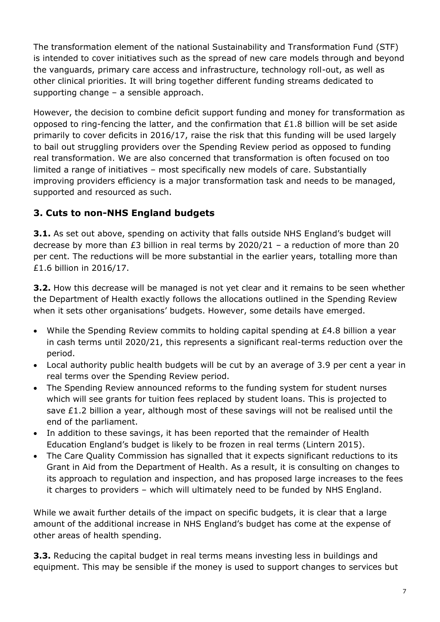The transformation element of the national Sustainability and Transformation Fund (STF) is intended to cover initiatives such as the spread of new care models through and beyond the vanguards, primary care access and infrastructure, technology roll-out, as well as other clinical priorities. It will bring together different funding streams dedicated to supporting change – a sensible approach.

However, the decision to combine deficit support funding and money for transformation as opposed to ring-fencing the latter, and the confirmation that £1.8 billion will be set aside primarily to cover deficits in 2016/17, raise the risk that this funding will be used largely to bail out struggling providers over the Spending Review period as opposed to funding real transformation. We are also concerned that transformation is often focused on too limited a range of initiatives – most specifically new models of care. Substantially improving providers efficiency is a major transformation task and needs to be managed, supported and resourced as such.

# **3. Cuts to non-NHS England budgets**

**3.1.** As set out above, spending on activity that falls outside NHS England's budget will decrease by more than £3 billion in real terms by 2020/21 – a reduction of more than 20 per cent. The reductions will be more substantial in the earlier years, totalling more than £1.6 billion in 2016/17.

**3.2.** How this decrease will be managed is not yet clear and it remains to be seen whether the Department of Health exactly follows the allocations outlined in the Spending Review when it sets other organisations' budgets. However, some details have emerged.

- While the Spending Review commits to holding capital spending at £4.8 billion a year in cash terms until 2020/21, this represents a significant real-terms reduction over the period.
- Local authority public health budgets will be cut by an average of 3.9 per cent a year in real terms over the Spending Review period.
- The Spending Review announced reforms to the funding system for student nurses which will see grants for tuition fees replaced by student loans. This is projected to save  $£1.2$  billion a year, although most of these savings will not be realised until the end of the parliament.
- In addition to these savings, it has been reported that the remainder of Health Education England's budget is likely to be frozen in real terms (Lintern 2015).
- The Care Quality Commission has signalled that it expects significant reductions to its Grant in Aid from the Department of Health. As a result, it is consulting on changes to its approach to regulation and inspection, and has proposed large increases to the fees it charges to providers – which will ultimately need to be funded by NHS England.

While we await further details of the impact on specific budgets, it is clear that a large amount of the additional increase in NHS England's budget has come at the expense of other areas of health spending.

**3.3.** Reducing the capital budget in real terms means investing less in buildings and equipment. This may be sensible if the money is used to support changes to services but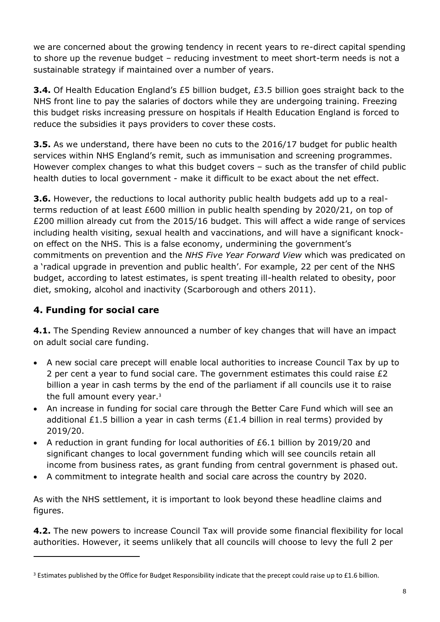we are concerned about the growing tendency in recent years to re-direct capital spending to shore up the revenue budget – reducing investment to meet short-term needs is not a sustainable strategy if maintained over a number of years.

**3.4.** Of Health Education England's £5 billion budget, £3.5 billion goes straight back to the NHS front line to pay the salaries of doctors while they are undergoing training. Freezing this budget risks increasing pressure on hospitals if Health Education England is forced to reduce the subsidies it pays providers to cover these costs.

**3.5.** As we understand, there have been no cuts to the 2016/17 budget for public health services within NHS England's remit, such as immunisation and screening programmes. However complex changes to what this budget covers – such as the transfer of child public health duties to local government - make it difficult to be exact about the net effect.

**3.6.** However, the reductions to local authority public health budgets add up to a realterms reduction of at least £600 million in public health spending by 2020/21, on top of £200 million already cut from the 2015/16 budget. This will affect a wide range of services including health visiting, sexual health and vaccinations, and will have a significant knockon effect on the NHS. This is a false economy, undermining the government's commitments on prevention and the *NHS Five Year Forward View* which was predicated on a 'radical upgrade in prevention and public health'. For example, 22 per cent of the NHS budget, according to latest estimates, is spent treating ill-health related to obesity, poor diet, smoking, alcohol and inactivity (Scarborough and others 2011).

# **4. Funding for social care**

j

**4.1.** The Spending Review announced a number of key changes that will have an impact on adult social care funding.

- A new social care precept will enable local authorities to increase Council Tax by up to 2 per cent a year to fund social care. The government estimates this could raise  $E2$ billion a year in cash terms by the end of the parliament if all councils use it to raise the full amount every year.<sup>3</sup>
- An increase in funding for social care through the Better Care Fund which will see an additional £1.5 billion a year in cash terms ( $£1.4$  billion in real terms) provided by 2019/20.
- A reduction in grant funding for local authorities of £6.1 billion by 2019/20 and significant changes to local government funding which will see councils retain all income from business rates, as grant funding from central government is phased out.
- A commitment to integrate health and social care across the country by 2020.

As with the NHS settlement, it is important to look beyond these headline claims and figures.

**4.2.** The new powers to increase Council Tax will provide some financial flexibility for local authorities. However, it seems unlikely that all councils will choose to levy the full 2 per

 $3$  Estimates published by the Office for Budget Responsibility indicate that the precept could raise up to £1.6 billion.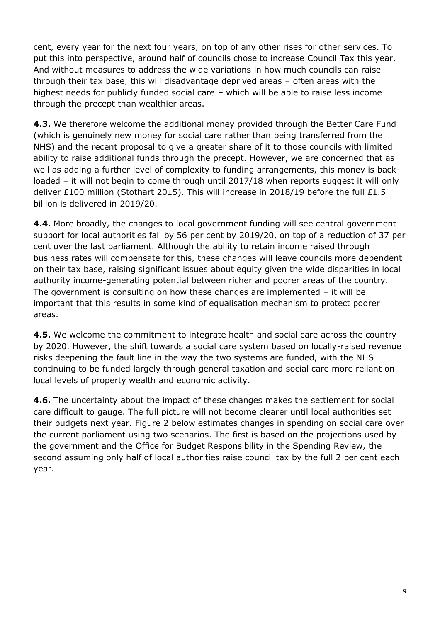cent, every year for the next four years, on top of any other rises for other services. To put this into perspective, around half of councils chose to increase Council Tax this year. And without measures to address the wide variations in how much councils can raise through their tax base, this will disadvantage deprived areas – often areas with the highest needs for publicly funded social care – which will be able to raise less income through the precept than wealthier areas.

**4.3.** We therefore welcome the additional money provided through the Better Care Fund (which is genuinely new money for social care rather than being transferred from the NHS) and the recent proposal to give a greater share of it to those councils with limited ability to raise additional funds through the precept. However, we are concerned that as well as adding a further level of complexity to funding arrangements, this money is backloaded – it will not begin to come through until 2017/18 when reports suggest it will only deliver £100 million (Stothart 2015). This will increase in 2018/19 before the full £1.5 billion is delivered in 2019/20.

**4.4.** More broadly, the changes to local government funding will see central government support for local authorities fall by 56 per cent by 2019/20, on top of a reduction of 37 per cent over the last parliament. Although the ability to retain income raised through business rates will compensate for this, these changes will leave councils more dependent on their tax base, raising significant issues about equity given the wide disparities in local authority income-generating potential between richer and poorer areas of the country. The government is consulting on how these changes are implemented  $-$  it will be important that this results in some kind of equalisation mechanism to protect poorer areas.

**4.5.** We welcome the commitment to integrate health and social care across the country by 2020. However, the shift towards a social care system based on locally-raised revenue risks deepening the fault line in the way the two systems are funded, with the NHS continuing to be funded largely through general taxation and social care more reliant on local levels of property wealth and economic activity.

**4.6.** The uncertainty about the impact of these changes makes the settlement for social care difficult to gauge. The full picture will not become clearer until local authorities set their budgets next year. Figure 2 below estimates changes in spending on social care over the current parliament using two scenarios. The first is based on the projections used by the government and the Office for Budget Responsibility in the Spending Review, the second assuming only half of local authorities raise council tax by the full 2 per cent each year.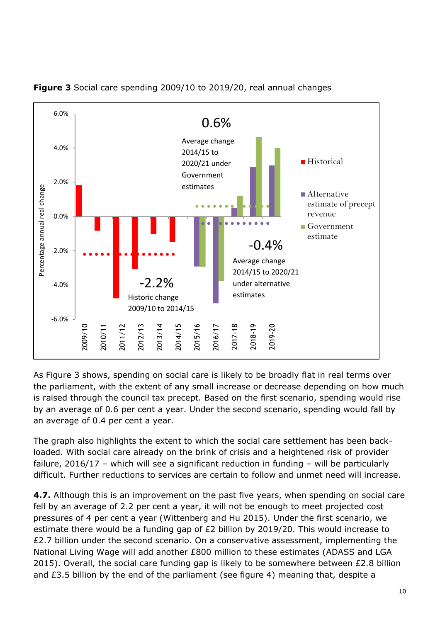

**Figure 3** Social care spending 2009/10 to 2019/20, real annual changes

As Figure 3 shows, spending on social care is likely to be broadly flat in real terms over the parliament, with the extent of any small increase or decrease depending on how much is raised through the council tax precept. Based on the first scenario, spending would rise by an average of 0.6 per cent a year. Under the second scenario, spending would fall by an average of 0.4 per cent a year.

The graph also highlights the extent to which the social care settlement has been backloaded. With social care already on the brink of crisis and a heightened risk of provider failure, 2016/17 – which will see a significant reduction in funding – will be particularly difficult. Further reductions to services are certain to follow and unmet need will increase.

**4.7.** Although this is an improvement on the past five years, when spending on social care fell by an average of 2.2 per cent a year, it will not be enough to meet projected cost pressures of 4 per cent a year (Wittenberg and Hu 2015). Under the first scenario, we estimate there would be a funding gap of  $E2$  billion by 2019/20. This would increase to £2.7 billion under the second scenario. On a conservative assessment, implementing the National Living Wage will add another £800 million to these estimates (ADASS and LGA 2015). Overall, the social care funding gap is likely to be somewhere between £2.8 billion and £3.5 billion by the end of the parliament (see figure 4) meaning that, despite a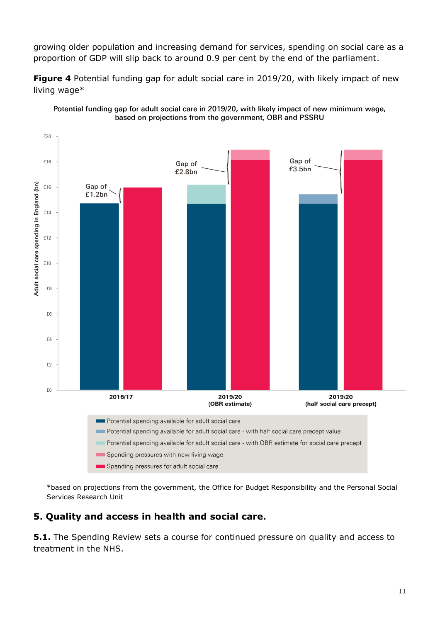growing older population and increasing demand for services, spending on social care as a proportion of GDP will slip back to around 0.9 per cent by the end of the parliament.

**Figure 4** Potential funding gap for adult social care in 2019/20, with likely impact of new living wage\*



Potential funding gap for adult social care in 2019/20, with likely impact of new minimum wage, based on projections from the government, OBR and PSSRU

\*based on projections from the government, the Office for Budget Responsibility and the Personal Social Services Research Unit

### **5. Quality and access in health and social care.**

**5.1.** The Spending Review sets a course for continued pressure on quality and access to treatment in the NHS.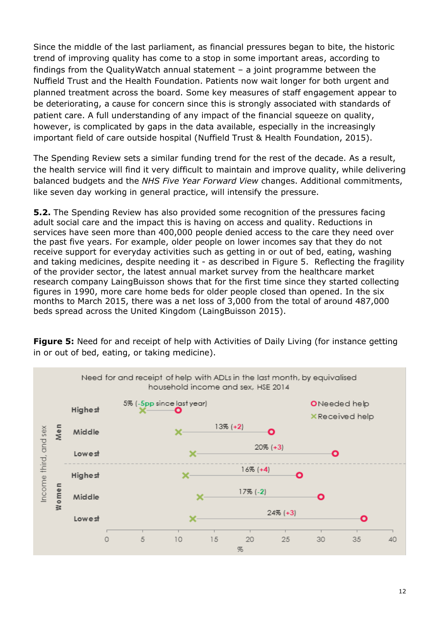Since the middle of the last parliament, as financial pressures began to bite, the historic trend of improving quality has come to a stop in some important areas, according to findings from the QualityWatch annual statement – a joint programme between the Nuffield Trust and the Health Foundation. Patients now wait longer for both urgent and planned treatment across the board. Some key measures of staff engagement appear to be deteriorating, a cause for concern since this is strongly associated with standards of patient care. A full understanding of any impact of the financial squeeze on quality, however, is complicated by gaps in the data available, especially in the increasingly important field of care outside hospital (Nuffield Trust & Health Foundation, 2015).

The Spending Review sets a similar funding trend for the rest of the decade. As a result, the health service will find it very difficult to maintain and improve quality, while delivering balanced budgets and the *NHS Five Year Forward View* changes. Additional commitments, like seven day working in general practice, will intensify the pressure.

**5.2.** The Spending Review has also provided some recognition of the pressures facing adult social care and the impact this is having on access and quality. Reductions in services have seen more than 400,000 people denied access to the care they need over the past five years. For example, older people on lower incomes say that they do not receive support for everyday activities such as getting in or out of bed, eating, washing and taking medicines, despite needing it - as described in Figure 5. Reflecting the fragility of the provider sector, the latest annual market survey from the healthcare market research company LaingBuisson shows that for the first time since they started collecting figures in 1990, more care home beds for older people closed than opened. In the six months to March 2015, there was a net loss of 3,000 from the total of around 487,000 beds spread across the United Kingdom (LaingBuisson 2015).



**Figure 5:** Need for and receipt of help with Activities of Daily Living (for instance getting in or out of bed, eating, or taking medicine).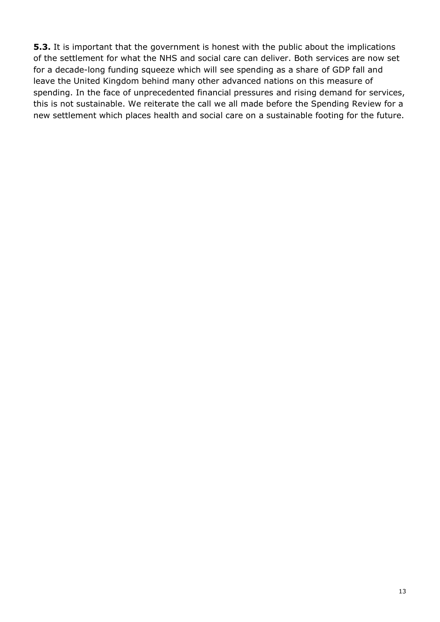**5.3.** It is important that the government is honest with the public about the implications of the settlement for what the NHS and social care can deliver. Both services are now set for a decade-long funding squeeze which will see spending as a share of GDP fall and leave the United Kingdom behind many other advanced nations on this measure of spending. In the face of unprecedented financial pressures and rising demand for services, this is not sustainable. We reiterate the call we all made before the Spending Review for a new settlement which places health and social care on a sustainable footing for the future.